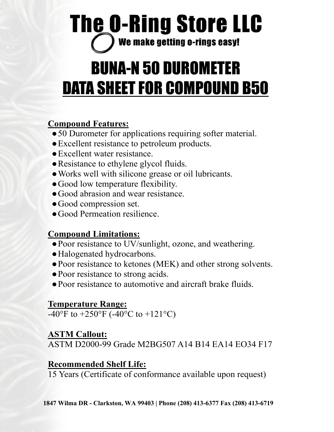# **The O-Ring Store LLC** We make getting o-rings easy!

# BUNA-N 50 DUROMETER DATA SHEET FOR COMPOUND B50

## **Compound Features:**

- ●50 Durometer for applications requiring softer material.
- ●Excellent resistance to petroleum products.
- ●Excellent water resistance.
- Resistance to ethylene glycol fluids.
- ●Works well with silicone grease or oil lubricants.
- ●Good low temperature flexibility.
- ●Good abrasion and wear resistance.
- ●Good compression set.
- ●Good Permeation resilience.

### **Compound Limitations:**

- Poor resistance to UV/sunlight, ozone, and weathering.
- ●Halogenated hydrocarbons.
- ●Poor resistance to ketones (MEK) and other strong solvents.
- ●Poor resistance to strong acids.
- ●Poor resistance to automotive and aircraft brake fluids.

## **Temperature Range:**

 $-40^{\circ}$ F to  $+250^{\circ}$ F ( $-40^{\circ}$ C to  $+121^{\circ}$ C)

### **ASTM Callout:**

ASTM D2000-99 Grade M2BG507 A14 B14 EA14 EO34 F17

### **Recommended Shelf Life:**

15 Years (Certificate of conformance available upon request)